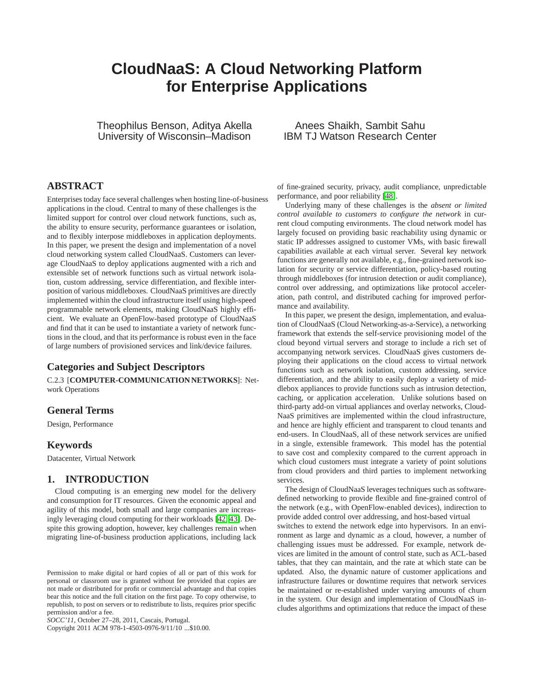# **CloudNaaS: A Cloud Networking Platform for Enterprise Applications**

University of Wisconsin–Madison

Theophilus Benson, Aditya Akella<br>
University of Wisconsin–Madison<br>
IBM TJ Watson Research Center

# **ABSTRACT**

Enterprises today face several challenges when hosting line-of-business applications in the cloud. Central to many of these challenges is the limited support for control over cloud network functions, such as, the ability to ensure security, performance guarantees or isolation, and to flexibly interpose middleboxes in application deployments. In this paper, we present the design and implementation of a novel cloud networking system called CloudNaaS. Customers can leverage CloudNaaS to deploy applications augmented with a rich and extensible set of network functions such as virtual network isolation, custom addressing, service differentiation, and flexible interposition of various middleboxes. CloudNaaS primitives are directly implemented within the cloud infrastructure itself using high-speed programmable network elements, making CloudNaaS highly efficient. We evaluate an OpenFlow-based prototype of CloudNaaS and find that it can be used to instantiate a variety of network functions in the cloud, and that its performance is robust even in the face of large numbers of provisioned services and link/device failures.

## **Categories and Subject Descriptors**

C.2.3 [**COMPUTER-COMMUNICATION NETWORKS**]: Network Operations

# **General Terms**

Design, Performance

## **Keywords**

Datacenter, Virtual Network

# <span id="page-0-0"></span>**1. INTRODUCTION**

Cloud computing is an emerging new model for the delivery and consumption for IT resources. Given the economic appeal and agility of this model, both small and large companies are increasingly leveraging cloud computing for their workloads [\[42,](#page-12-0) [43\]](#page-12-1). Despite this growing adoption, however, key challenges remain when migrating line-of-business production applications, including lack

Copyright 2011 ACM 978-1-4503-0976-9/11/10 ...\$10.00.

of fine-grained security, privacy, audit compliance, unpredictable performance, and poor reliability [\[48\]](#page-12-2).

Underlying many of these challenges is the *absent or limited control available to customers to configure the network* in current cloud computing environments. The cloud network model has largely focused on providing basic reachability using dynamic or static IP addresses assigned to customer VMs, with basic firewall capabilities available at each virtual server. Several key network functions are generally not available, e.g., fine-grained network isolation for security or service differentiation, policy-based routing through middleboxes (for intrusion detection or audit compliance), control over addressing, and optimizations like protocol acceleration, path control, and distributed caching for improved performance and availability.

In this paper, we present the design, implementation, and evaluation of CloudNaaS (Cloud Networking-as-a-Service), a networking framework that extends the self-service provisioning model of the cloud beyond virtual servers and storage to include a rich set of accompanying network services. CloudNaaS gives customers deploying their applications on the cloud access to virtual network functions such as network isolation, custom addressing, service differentiation, and the ability to easily deploy a variety of middlebox appliances to provide functions such as intrusion detection, caching, or application acceleration. Unlike solutions based on third-party add-on virtual appliances and overlay networks, Cloud-NaaS primitives are implemented within the cloud infrastructure, and hence are highly efficient and transparent to cloud tenants and end-users. In CloudNaaS, all of these network services are unified in a single, extensible framework. This model has the potential to save cost and complexity compared to the current approach in which cloud customers must integrate a variety of point solutions from cloud providers and third parties to implement networking services.

The design of CloudNaaS leverages techniques such as softwaredefined networking to provide flexible and fine-grained control of the network (e.g., with OpenFlow-enabled devices), indirection to provide added control over addressing, and host-based virtual switches to extend the network edge into hypervisors. In an environment as large and dynamic as a cloud, however, a number of challenging issues must be addressed. For example, network devices are limited in the amount of control state, such as ACL-based tables, that they can maintain, and the rate at which state can be updated. Also, the dynamic nature of customer applications and infrastructure failures or downtime requires that network services be maintained or re-established under varying amounts of churn in the system. Our design and implementation of CloudNaaS includes algorithms and optimizations that reduce the impact of these

Permission to make digital or hard copies of all or part of this work for personal or classroom use is granted without fee provided that copies are not made or distributed for profit or commercial advantage and that copies bear this notice and the full citation on the first page. To copy otherwise, to republish, to post on servers or to redistribute to lists, requires prior specific permission and/or a fee.

*SOCC'11,* October 27–28, 2011, Cascais, Portugal.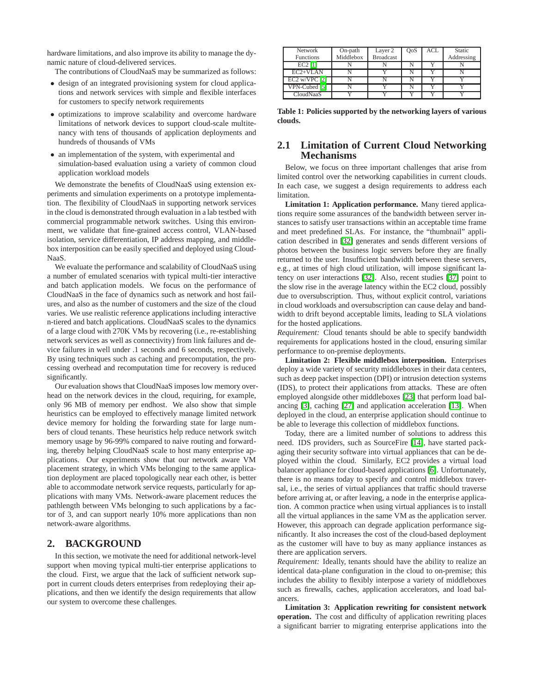hardware limitations, and also improve its ability to manage the dynamic nature of cloud-delivered services.

The contributions of CloudNaaS may be summarized as follows:

- design of an integrated provisioning system for cloud applications and network services with simple and flexible interfaces for customers to specify network requirements
- optimizations to improve scalability and overcome hardware limitations of network devices to support cloud-scale multitenancy with tens of thousands of application deployments and hundreds of thousands of VMs
- an implementation of the system, with experimental and simulation-based evaluation using a variety of common cloud application workload models

We demonstrate the benefits of CloudNaaS using extension experiments and simulation experiments on a prototype implementation. The flexibility of CloudNaaS in supporting network services in the cloud is demonstrated through evaluation in a lab testbed with commercial programmable network switches. Using this environment, we validate that fine-grained access control, VLAN-based isolation, service differentiation, IP address mapping, and middlebox interposition can be easily specified and deployed using Cloud-NaaS.

We evaluate the performance and scalability of CloudNaaS using a number of emulated scenarios with typical multi-tier interactive and batch application models. We focus on the performance of CloudNaaS in the face of dynamics such as network and host failures, and also as the number of customers and the size of the cloud varies. We use realistic reference applications including interactive n-tiered and batch applications. CloudNaaS scales to the dynamics of a large cloud with 270K VMs by recovering (i.e., re-establishing network services as well as connectivity) from link failures and device failures in well under .1 seconds and 6 seconds, respectively. By using techniques such as caching and precomputation, the processing overhead and recomputation time for recovery is reduced significantly.

Our evaluation shows that CloudNaaS imposes low memory overhead on the network devices in the cloud, requiring, for example, only 96 MB of memory per endhost. We also show that simple heuristics can be employed to effectively manage limited network device memory for holding the forwarding state for large numbers of cloud tenants. These heuristics help reduce network switch memory usage by 96-99% compared to naive routing and forwarding, thereby helping CloudNaaS scale to host many enterprise applications. Our experiments show that our network aware VM placement strategy, in which VMs belonging to the same application deployment are placed topologically near each other, is better able to accommodate network service requests, particularly for applications with many VMs. Network-aware placement reduces the pathlength between VMs belonging to such applications by a factor of 3, and can support nearly 10% more applications than non network-aware algorithms.

# <span id="page-1-1"></span>**2. BACKGROUND**

In this section, we motivate the need for additional network-level support when moving typical multi-tier enterprise applications to the cloud. First, we argue that the lack of sufficient network support in current clouds deters enterprises from redeploying their applications, and then we identify the design requirements that allow our system to overcome these challenges.

| Network           | On-path   | Layer 2          | OoS | ACL | <b>Static</b> |
|-------------------|-----------|------------------|-----|-----|---------------|
| <b>Functions</b>  | Middlebox | <b>Broadcast</b> |     |     | Addressing    |
| $EC2$ [1]         |           |                  |     |     |               |
| $EC2+VLAN$        |           |                  |     |     |               |
| $EC2$ w/VPC $[2]$ |           |                  |     |     |               |
| VPN-Cubed [5]     |           |                  |     |     |               |
| CloudNaaS         |           |                  |     |     |               |

<span id="page-1-0"></span>**Table 1: Policies supported by the networking layers of various clouds.**

# **2.1 Limitation of Current Cloud Networking Mechanisms**

Below, we focus on three important challenges that arise from limited control over the networking capabilities in current clouds. In each case, we suggest a design requirements to address each limitation.

**Limitation 1: Application performance.** Many tiered applications require some assurances of the bandwidth between server instances to satisfy user transactions within an acceptable time frame and meet predefined SLAs. For instance, the "thumbnail" application described in [\[32\]](#page-12-3) generates and sends different versions of photos between the business logic servers before they are finally returned to the user. Insufficient bandwidth between these servers, e.g., at times of high cloud utilization, will impose significant latency on user interactions [\[32\]](#page-12-3). Also, recent studies [\[37\]](#page-12-4) point to the slow rise in the average latency within the EC2 cloud, possibly due to oversubscription. Thus, without explicit control, variations in cloud workloads and oversubscription can cause delay and bandwidth to drift beyond acceptable limits, leading to SLA violations for the hosted applications.

*Requirement:* Cloud tenants should be able to specify bandwidth requirements for applications hosted in the cloud, ensuring similar performance to on-premise deployments.

**Limitation 2: Flexible middlebox interposition.** Enterprises deploy a wide variety of security middleboxes in their data centers, such as deep packet inspection (DPI) or intrusion detection systems (IDS), to protect their applications from attacks. These are often employed alongside other middleboxes [\[23\]](#page-11-3) that perform load balancing [\[3\]](#page-11-4), caching [\[27\]](#page-12-5) and application acceleration [\[13\]](#page-11-5). When deployed in the cloud, an enterprise application should continue to be able to leverage this collection of middlebox functions.

Today, there are a limited number of solutions to address this need. IDS providers, such as SourceFire [\[14\]](#page-11-6), have started packaging their security software into virtual appliances that can be deployed within the cloud. Similarly, EC2 provides a virtual load balancer appliance for cloud-based applications [\[6\]](#page-11-7). Unfortunately, there is no means today to specify and control middlebox traversal, i.e., the series of virtual appliances that traffic should traverse before arriving at, or after leaving, a node in the enterprise application. A common practice when using virtual appliances is to install all the virtual appliances in the same VM as the application server. However, this approach can degrade application performance significantly. It also increases the cost of the cloud-based deployment as the customer will have to buy as many appliance instances as there are application servers.

*Requirement:* Ideally, tenants should have the ability to realize an identical data-plane configuration in the cloud to on-premise; this includes the ability to flexibly interpose a variety of middleboxes such as firewalls, caches, application accelerators, and load balancers.

**Limitation 3: Application rewriting for consistent network operation.** The cost and difficulty of application rewriting places a significant barrier to migrating enterprise applications into the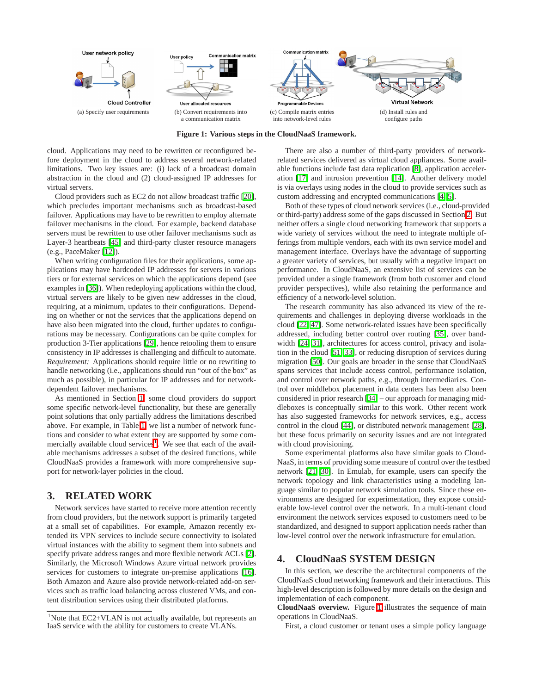

<span id="page-2-1"></span>**Figure 1: Various steps in the CloudNaaS framework.**

cloud. Applications may need to be rewritten or reconfigured before deployment in the cloud to address several network-related limitations. Two key issues are: (i) lack of a broadcast domain abstraction in the cloud and (2) cloud-assigned IP addresses for virtual servers.

Cloud providers such as EC2 do not allow broadcast traffic [\[20\]](#page-11-8), which precludes important mechanisms such as broadcast-based failover. Applications may have to be rewritten to employ alternate failover mechanisms in the cloud. For example, backend database servers must be rewritten to use other failover mechanisms such as Layer-3 heartbeats [\[45\]](#page-12-6) and third-party cluster resource managers (e.g., PaceMaker [\[12\]](#page-11-9)).

When writing configuration files for their applications, some applications may have hardcoded IP addresses for servers in various tiers or for external services on which the applications depend (see examples in [\[36\]](#page-12-7)). When redeploying applications within the cloud, virtual servers are likely to be given new addresses in the cloud, requiring, at a minimum, updates to their configurations. Depending on whether or not the services that the applications depend on have also been migrated into the cloud, further updates to configurations may be necessary. Configurations can be quite complex for production 3-Tier applications [\[29\]](#page-12-8), hence retooling them to ensure consistency in IP addresses is challenging and difficult to automate. *Requirement:* Applications should require little or no rewriting to handle networking (i.e., applications should run "out of the box" as much as possible), in particular for IP addresses and for networkdependent failover mechanisms.

As mentioned in Section [1,](#page-0-0) some cloud providers do support some specific network-level functionality, but these are generally point solutions that only partially address the limitations described above. For example, in Table [1,](#page-1-0) we list a number of network functions and consider to what extent they are supported by some com-mercially available cloud services<sup>[1](#page-2-0)</sup>. We see that each of the available mechanisms addresses a subset of the desired functions, while CloudNaaS provides a framework with more comprehensive support for network-layer policies in the cloud.

# **3. RELATED WORK**

Network services have started to receive more attention recently from cloud providers, but the network support is primarily targeted at a small set of capabilities. For example, Amazon recently extended its VPN services to include secure connectivity to isolated virtual instances with the ability to segment them into subnets and specify private address ranges and more flexible network ACLs [\[2\]](#page-11-1). Similarly, the Microsoft Windows Azure virtual network provides services for customers to integrate on-premise applications [\[16\]](#page-11-10). Both Amazon and Azure also provide network-related add-on services such as traffic load balancing across clustered VMs, and content distribution services using their distributed platforms.

There are also a number of third-party providers of networkrelated services delivered as virtual cloud appliances. Some available functions include fast data replication [\[8\]](#page-11-11), application acceleration [\[17\]](#page-11-12) and intrusion prevention [\[14\]](#page-11-6). Another delivery model is via overlays using nodes in the cloud to provide services such as custom addressing and encrypted communications [\[4,](#page-11-13) [5\]](#page-11-2).

Both of these types of cloud network services (i.e., cloud-provided or third-party) address some of the gaps discussed in Section [2.](#page-1-1) But neither offers a single cloud networking framework that supports a wide variety of services without the need to integrate multiple offerings from multiple vendors, each with its own service model and management interface. Overlays have the advantage of supporting a greater variety of services, but usually with a negative impact on performance. In CloudNaaS, an extensive list of services can be provided under a single framework (from both customer and cloud provider perspectives), while also retaining the performance and efficiency of a network-level solution.

The research community has also advanced its view of the requirements and challenges in deploying diverse workloads in the cloud [\[22,](#page-11-14) [47\]](#page-12-9). Some network-related issues have been specifically addressed, including better control over routing [\[35\]](#page-12-10), over bandwidth [\[24,](#page-11-15) [31\]](#page-12-11), architectures for access control, privacy and isolation in the cloud [\[51,](#page-12-12) [33\]](#page-12-13), or reducing disruption of services during migration [\[50\]](#page-12-14). Our goals are broader in the sense that CloudNaaS spans services that include access control, performance isolation, and control over network paths, e.g., through intermediaries. Control over middlebox placement in data centers has been also been considered in prior research [\[34\]](#page-12-15) – our approach for managing middleboxes is conceptually similar to this work. Other recent work has also suggested frameworks for network services, e.g., access control in the cloud [\[44\]](#page-12-16), or distributed network management [\[28\]](#page-12-17), but these focus primarily on security issues and are not integrated with cloud provisioning.

Some experimental platforms also have similar goals to Cloud-NaaS, in terms of providing some measure of control over the testbed network [\[21,](#page-11-16) [30\]](#page-12-18). In Emulab, for example, users can specify the network topology and link characteristics using a modeling language similar to popular network simulation tools. Since these environments are designed for experimentation, they expose considerable low-level control over the network. In a multi-tenant cloud environment the network services exposed to customers need to be standardized, and designed to support application needs rather than low-level control over the network infrastructure for emulation.

# <span id="page-2-2"></span>**4. CloudNaaS SYSTEM DESIGN**

In this section, we describe the architectural components of the CloudNaaS cloud networking framework and their interactions. This high-level description is followed by more details on the design and implementation of each component.

**CloudNaaS overview.** Figure [1](#page-2-1) illustrates the sequence of main operations in CloudNaaS.

First, a cloud customer or tenant uses a simple policy language

<span id="page-2-0"></span><sup>&</sup>lt;sup>1</sup>Note that EC2+VLAN is not actually available, but represents an IaaS service with the ability for customers to create VLANs.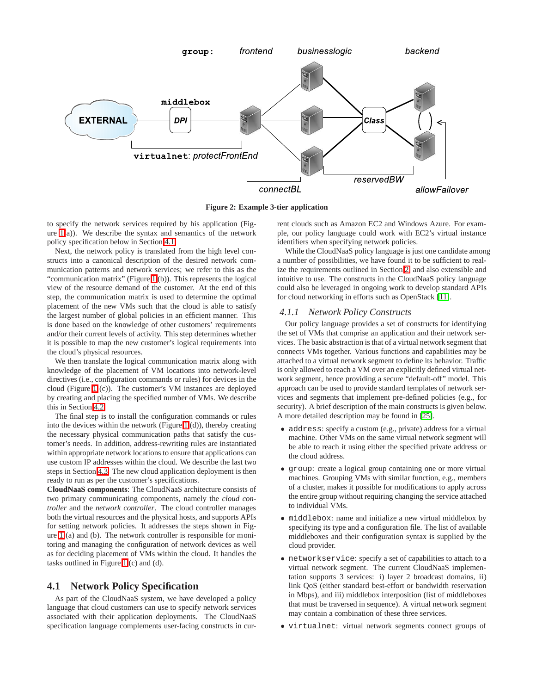

<span id="page-3-1"></span>**Figure 2: Example 3-tier application**

to specify the network services required by his application (Figure  $1(a)$ ). We describe the syntax and semantics of the network policy specification below in Section [4.1.](#page-3-0)

Next, the network policy is translated from the high level constructs into a canonical description of the desired network communication patterns and network services; we refer to this as the "communication matrix" (Figure [1](#page-2-1) (b)). This represents the logical view of the resource demand of the customer. At the end of this step, the communication matrix is used to determine the optimal placement of the new VMs such that the cloud is able to satisfy the largest number of global policies in an efficient manner. This is done based on the knowledge of other customers' requirements and/or their current levels of activity. This step determines whether it is possible to map the new customer's logical requirements into the cloud's physical resources.

We then translate the logical communication matrix along with knowledge of the placement of VM locations into network-level directives (i.e., configuration commands or rules) for devices in the cloud (Figure [1](#page-2-1) (c)). The customer's VM instances are deployed by creating and placing the specified number of VMs. We describe this in Section [4.2.](#page-4-0)

The final step is to install the configuration commands or rules into the devices within the network (Figure [1](#page-2-1) (d)), thereby creating the necessary physical communication paths that satisfy the customer's needs. In addition, address-rewriting rules are instantiated within appropriate network locations to ensure that applications can use custom IP addresses within the cloud. We describe the last two steps in Section [4.3.](#page-4-1) The new cloud application deployment is then ready to run as per the customer's specifications.

**CloudNaaS components**: The CloudNaaS architecture consists of two primary communicating components, namely the *cloud controller* and the *network controller*. The cloud controller manages both the virtual resources and the physical hosts, and supports APIs for setting network policies. It addresses the steps shown in Figure [1](#page-2-1) (a) and (b). The network controller is responsible for monitoring and managing the configuration of network devices as well as for deciding placement of VMs within the cloud. It handles the tasks outlined in Figure [1](#page-2-1) (c) and (d).

# <span id="page-3-0"></span>**4.1 Network Policy Specification**

As part of the CloudNaaS system, we have developed a policy language that cloud customers can use to specify network services associated with their application deployments. The CloudNaaS specification language complements user-facing constructs in current clouds such as Amazon EC2 and Windows Azure. For example, our policy language could work with EC2's virtual instance identifiers when specifying network policies.

While the CloudNaaS policy language is just one candidate among a number of possibilities, we have found it to be sufficient to realize the requirements outlined in Section [2,](#page-1-1) and also extensible and intuitive to use. The constructs in the CloudNaaS policy language could also be leveraged in ongoing work to develop standard APIs for cloud networking in efforts such as OpenStack [\[11\]](#page-11-17).

## *4.1.1 Network Policy Constructs*

Our policy language provides a set of constructs for identifying the set of VMs that comprise an application and their network services. The basic abstraction is that of a virtual network segment that connects VMs together. Various functions and capabilities may be attached to a virtual network segment to define its behavior. Traffic is only allowed to reach a VM over an explicitly defined virtual network segment, hence providing a secure "default-off" model. This approach can be used to provide standard templates of network services and segments that implement pre-defined policies (e.g., for security). A brief description of the main constructs is given below. A more detailed description may be found in [\[25\]](#page-11-18).

- address: specify a custom (e.g., private) address for a virtual machine. Other VMs on the same virtual network segment will be able to reach it using either the specified private address or the cloud address.
- group: create a logical group containing one or more virtual machines. Grouping VMs with similar function, e.g., members of a cluster, makes it possible for modifications to apply across the entire group without requiring changing the service attached to individual VMs.
- middlebox: name and initialize a new virtual middlebox by specifying its type and a configuration file. The list of available middleboxes and their configuration syntax is supplied by the cloud provider.
- networkservice: specify a set of capabilities to attach to a virtual network segment. The current CloudNaaS implementation supports 3 services: i) layer 2 broadcast domains, ii) link QoS (either standard best-effort or bandwidth reservation in Mbps), and iii) middlebox interposition (list of middleboxes that must be traversed in sequence). A virtual network segment may contain a combination of these three services.
- virtualnet: virtual network segments connect groups of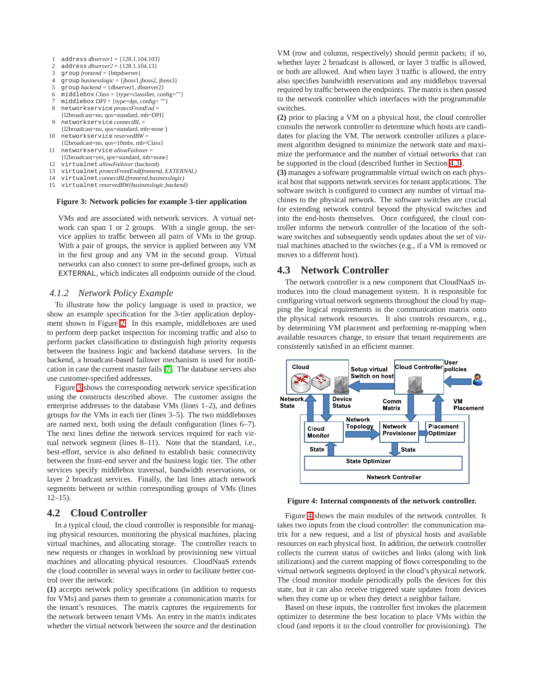- 1 address *dbserver1* = {128.1.104.103}
- 2 address *dbserver2* = {128.1.104.13}
- 3 group *frontend* = {httpdserver}<br>4 group *husinesslogic* = {iboss] i 4 group *businesslogic* = {jboss1,jboss2, jboss3}
- 5 group *backend* = {dbserver1, dbserver2}
- 6 middlebox *Class* = {type=classifier, config=""}
- $mid$ debox  $DPI = {type=dpi, config=$
- 8 networkservice *protectFrontEnd* =
- {l2broadcast=no, qos=standard, mb=DPI}
- 9 networkservice *connectBL* = {l2broadcast=no, qos=standard, mb=none }
- 10 networkservice *reservedBW* = {l2broadcast=no, qos=10mbs, mb=Class}
- 11 networkservice *allowFailover* =
- {l2broadcast=yes, qos=standard, mb=none}
- 12 virtualnet *allowFailover* (backend)
- 13 virtualnet *protectFrontEnd(frontend, EXTERNAL)*
- 14 virtualnet *connectBL(frontend,businesslogic)*
- <span id="page-4-2"></span>15 virtualnet *reservedBW(businesslogic,backend)*

#### **Figure 3: Network policies for example 3-tier application**

VMs and are associated with network services. A virtual network can span 1 or 2 groups. With a single group, the service applies to traffic between all pairs of VMs in the group. With a pair of groups, the service is applied between any VM in the first group and any VM in the second group. Virtual networks can also connect to some pre-defined groups, such as EXTERNAL, which indicates all endpoints outside of the cloud.

#### *4.1.2 Network Policy Example*

To illustrate how the policy language is used in practice, we show an example specification for the 3-tier application deployment shown in Figure [2.](#page-3-1) In this example, middleboxes are used to perform deep packet inspection for incoming traffic and also to perform packet classification to distinguish high priority requests between the business logic and backend database servers. In the backend, a broadcast-based failover mechanism is used for notification in case the current master fails [\[7\]](#page-11-19). The database servers also use customer-specified addresses.

Figure [3](#page-4-2) shows the corresponding network service specification using the constructs described above. The customer assigns the enterprise addresses to the database VMs (lines 1–2), and defines groups for the VMs in each tier (lines 3–5). The two middleboxes are named next, both using the default configuration (lines 6–7). The next lines define the network services required for each virtual network segment (lines 8–11). Note that the standard, i.e., best-effort, service is also defined to establish basic connectivity between the front-end server and the business logic tier. The other services specify middlebox traversal, bandwidth reservations, or layer 2 broadcast services. Finally, the last lines attach network segments between or within corresponding groups of VMs (lines  $12-15$ ).

# <span id="page-4-0"></span>**4.2 Cloud Controller**

In a typical cloud, the cloud controller is responsible for managing physical resources, monitoring the physical machines, placing virtual machines, and allocating storage. The controller reacts to new requests or changes in workload by provisioning new virtual machines and allocating physical resources. CloudNaaS extends the cloud controller in several ways in order to facilitate better control over the network:

**(1)** accepts network policy specifications (in addition to requests for VMs) and parses them to generate a communication matrix for the tenant's resources. The matrix captures the requirements for the network between tenant VMs. An entry in the matrix indicates whether the virtual network between the source and the destination

VM (row and column, respectively) should permit packets; if so, whether layer 2 broadcast is allowed, or layer 3 traffic is allowed, or both are allowed. And when layer 3 traffic is allowed, the entry also specifies bandwidth reservations and any middlebox traversal required by traffic between the endpoints. The matrix is then passed to the network controller which interfaces with the programmable switches.

**(2)** prior to placing a VM on a physical host, the cloud controller consults the network controller to determine which hosts are candidates for placing the VM. The network controller utilizes a placement algorithm designed to minimize the network state and maximize the performance and the number of virtual networks that can be supported in the cloud (described further in Section [4.3\)](#page-4-1).

**(3)** manages a software programmable virtual switch on each physical host that supports network services for tenant applications. The software switch is configured to connect any number of virtual machines to the physical network. The software switches are crucial for extending network control beyond the physical switches and into the end-hosts themselves. Once configured, the cloud controller informs the network controller of the location of the software switches and subsequently sends updates about the set of virtual machines attached to the switches (e.g., if a VM is removed or moves to a different host).

## <span id="page-4-1"></span>**4.3 Network Controller**

The network controller is a new component that CloudNaaS introduces into the cloud management system. It is responsible for configuring virtual network segments throughout the cloud by mapping the logical requirements in the communication matrix onto the physical network resources. It also controls resources, e.g., by determining VM placement and performing re-mapping when available resources change, to ensure that tenant requirements are consistently satisfied in an efficient manner.



<span id="page-4-3"></span>

Figure [4](#page-4-3) shows the main modules of the network controller. It takes two inputs from the cloud controller: the communication matrix for a new request, and a list of physical hosts and available resources on each physical host. In addition, the network controller collects the current status of switches and links (along with link utilizations) and the current mapping of flows corresponding to the virtual network segments deployed in the cloud's physical network. The cloud monitor module periodically polls the devices for this state, but it can also receive triggered state updates from devices when they come up or when they detect a neighbor failure.

Based on these inputs, the controller first invokes the placement optimizer to determine the best location to place VMs within the cloud (and reports it to the cloud controller for provisioning). The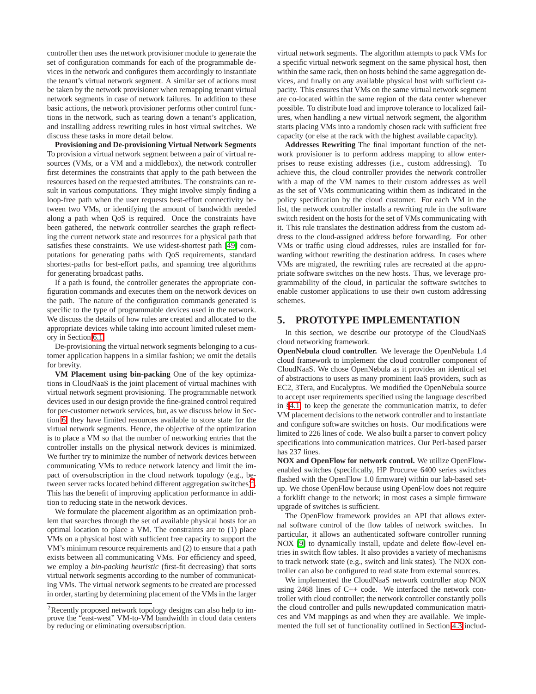controller then uses the network provisioner module to generate the set of configuration commands for each of the programmable devices in the network and configures them accordingly to instantiate the tenant's virtual network segment. A similar set of actions must be taken by the network provisioner when remapping tenant virtual network segments in case of network failures. In addition to these basic actions, the network provisioner performs other control functions in the network, such as tearing down a tenant's application, and installing address rewriting rules in host virtual switches. We discuss these tasks in more detail below.

**Provisioning and De-provisioning Virtual Network Segments** To provision a virtual network segment between a pair of virtual resources (VMs, or a VM and a middlebox), the network controller first determines the constraints that apply to the path between the resources based on the requested attributes. The constraints can result in various computations. They might involve simply finding a loop-free path when the user requests best-effort connectivity between two VMs, or identifying the amount of bandwidth needed along a path when QoS is required. Once the constraints have been gathered, the network controller searches the graph reflecting the current network state and resources for a physical path that satisfies these constraints. We use widest-shortest path [\[49\]](#page-12-19) computations for generating paths with QoS requirements, standard shortest-paths for best-effort paths, and spanning tree algorithms for generating broadcast paths.

If a path is found, the controller generates the appropriate configuration commands and executes them on the network devices on the path. The nature of the configuration commands generated is specific to the type of programmable devices used in the network. We discuss the details of how rules are created and allocated to the appropriate devices while taking into account limited ruleset memory in Section [6.1.](#page-6-0)

De-provisioning the virtual network segments belonging to a customer application happens in a similar fashion; we omit the details for brevity.

**VM Placement using bin-packing** One of the key optimizations in CloudNaaS is the joint placement of virtual machines with virtual network segment provisioning. The programmable network devices used in our design provide the fine-grained control required for per-customer network services, but, as we discuss below in Section [6,](#page-6-1) they have limited resources available to store state for the virtual network segments. Hence, the objective of the optimization is to place a VM so that the number of networking entries that the controller installs on the physical network devices is minimized. We further try to minimize the number of network devices between communicating VMs to reduce network latency and limit the impact of oversubscription in the cloud network topology (e.g., between server racks located behind different aggregation switches $)^2$  $)^2$ . This has the benefit of improving application performance in addition to reducing state in the network devices.

We formulate the placement algorithm as an optimization problem that searches through the set of available physical hosts for an optimal location to place a VM. The constraints are to (1) place VMs on a physical host with sufficient free capacity to support the VM's minimum resource requirements and (2) to ensure that a path exists between all communicating VMs. For efficiency and speed, we employ a *bin-packing heuristic* (first-fit decreasing) that sorts virtual network segments according to the number of communicating VMs. The virtual network segments to be created are processed in order, starting by determining placement of the VMs in the larger

virtual network segments. The algorithm attempts to pack VMs for a specific virtual network segment on the same physical host, then within the same rack, then on hosts behind the same aggregation devices, and finally on any available physical host with sufficient capacity. This ensures that VMs on the same virtual network segment are co-located within the same region of the data center whenever possible. To distribute load and improve tolerance to localized failures, when handling a new virtual network segment, the algorithm starts placing VMs into a randomly chosen rack with sufficient free capacity (or else at the rack with the highest available capacity).

**Addresses Rewriting** The final important function of the network provisioner is to perform address mapping to allow enterprises to reuse existing addresses (i.e., custom addressing). To achieve this, the cloud controller provides the network controller with a map of the VM names to their custom addresses as well as the set of VMs communicating within them as indicated in the policy specification by the cloud customer. For each VM in the list, the network controller installs a rewriting rule in the software switch resident on the hosts for the set of VMs communicating with it. This rule translates the destination address from the custom address to the cloud-assigned address before forwarding. For other VMs or traffic using cloud addresses, rules are installed for forwarding without rewriting the destination address. In cases where VMs are migrated, the rewriting rules are recreated at the appropriate software switches on the new hosts. Thus, we leverage programmability of the cloud, in particular the software switches to enable customer applications to use their own custom addressing schemes.

## **5. PROTOTYPE IMPLEMENTATION**

In this section, we describe our prototype of the CloudNaaS cloud networking framework.

**OpenNebula cloud controller.** We leverage the OpenNebula 1.4 cloud framework to implement the cloud controller component of CloudNaaS. We chose OpenNebula as it provides an identical set of abstractions to users as many prominent IaaS providers, such as EC2, 3Tera, and Eucalyptus. We modified the OpenNebula source to accept user requirements specified using the language described in [§4.1,](#page-3-0) to keep the generate the communication matrix, to defer VM placement decisions to the network controller and to instantiate and configure software switches on hosts. Our modifications were limited to 226 lines of code. We also built a parser to convert policy specifications into communication matrices. Our Perl-based parser has 237 lines.

**NOX and OpenFlow for network control.** We utilize OpenFlowenabled switches (specifically, HP Procurve 6400 series switches flashed with the OpenFlow 1.0 firmware) within our lab-based setup. We chose OpenFlow because using OpenFlow does not require a forklift change to the network; in most cases a simple firmware upgrade of switches is sufficient.

The OpenFlow framework provides an API that allows external software control of the flow tables of network switches. In particular, it allows an authenticated software controller running NOX [\[9\]](#page-11-20) to dynamically install, update and delete flow-level entries in switch flow tables. It also provides a variety of mechanisms to track network state (e.g., switch and link states). The NOX controller can also be configured to read state from external sources.

We implemented the CloudNaaS network controller atop NOX using 2468 lines of C++ code. We interfaced the network controller with cloud controller; the network controller constantly polls the cloud controller and pulls new/updated communication matrices and VM mappings as and when they are available. We implemented the full set of functionality outlined in Section [4.3](#page-4-1) includ-

<span id="page-5-0"></span><sup>2</sup>Recently proposed network topology designs can also help to improve the "east-west" VM-to-VM bandwidth in cloud data centers by reducing or eliminating oversubscription.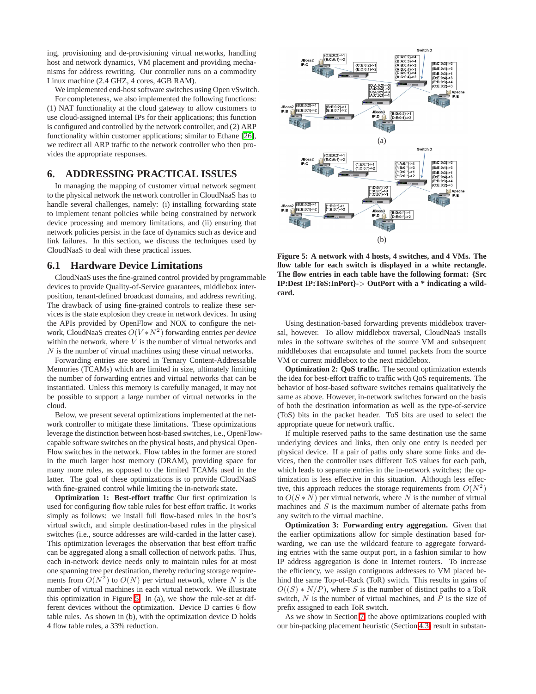ing, provisioning and de-provisioning virtual networks, handling host and network dynamics, VM placement and providing mechanisms for address rewriting. Our controller runs on a commodity Linux machine (2.4 GHZ, 4 cores, 4GB RAM).

We implemented end-host software switches using Open vSwitch.

For completeness, we also implemented the following functions: (1) NAT functionality at the cloud gateway to allow customers to use cloud-assigned internal IPs for their applications; this function is configured and controlled by the network controller, and (2) ARP functionality within customer applications; similar to Ethane [\[26\]](#page-12-20), we redirect all ARP traffic to the network controller who then provides the appropriate responses.

# <span id="page-6-1"></span>**6. ADDRESSING PRACTICAL ISSUES**

In managing the mapping of customer virtual network segment to the physical network the network controller in CloudNaaS has to handle several challenges, namely: (i) installing forwarding state to implement tenant policies while being constrained by network device processing and memory limitations, and (ii) ensuring that network policies persist in the face of dynamics such as device and link failures. In this section, we discuss the techniques used by CloudNaaS to deal with these practical issues.

#### <span id="page-6-0"></span>**6.1 Hardware Device Limitations**

CloudNaaS uses the fine-grained control provided by programmable devices to provide Quality-of-Service guarantees, middlebox interposition, tenant-defined broadcast domains, and address rewriting. The drawback of using fine-grained controls to realize these services is the state explosion they create in network devices. In using the APIs provided by OpenFlow and NOX to configure the network, CloudNaaS creates O(V ∗N 2 ) forwarding entries *per device* within the network, where  $V$  is the number of virtual networks and N is the number of virtual machines using these virtual networks.

Forwarding entries are stored in Ternary Content-Addressable Memories (TCAMs) which are limited in size, ultimately limiting the number of forwarding entries and virtual networks that can be instantiated. Unless this memory is carefully managed, it may not be possible to support a large number of virtual networks in the cloud.

Below, we present several optimizations implemented at the network controller to mitigate these limitations. These optimizations leverage the distinction between host-based switches, i.e., OpenFlowcapable software switches on the physical hosts, and physical Open-Flow switches in the network. Flow tables in the former are stored in the much larger host memory (DRAM), providing space for many more rules, as opposed to the limited TCAMs used in the latter. The goal of these optimizations is to provide CloudNaaS with fine-grained control while limiting the in-network state.

**Optimization 1: Best-effort traffic** Our first optimization is used for configuring flow table rules for best effort traffic. It works simply as follows: we install full flow-based rules in the host's virtual switch, and simple destination-based rules in the physical switches (i.e., source addresses are wild-carded in the latter case). This optimization leverages the observation that best effort traffic can be aggregated along a small collection of network paths. Thus, each in-network device needs only to maintain rules for at most one spanning tree per destination, thereby reducing storage requirements from  $O(N^2)$  to  $O(N)$  per virtual network, where N is the number of virtual machines in each virtual network. We illustrate this optimization in Figure [5.](#page-6-2) In (a), we show the rule-set at different devices without the optimization. Device D carries 6 flow table rules. As shown in (b), with the optimization device D holds 4 flow table rules, a 33% reduction.



<span id="page-6-2"></span>**Figure 5: A network with 4 hosts, 4 switches, and 4 VMs. The flow table for each switch is displayed in a white rectangle. The flow entries in each table have the following format: {Src IP:Dest IP:ToS:InPort}-**> **OutPort with a \* indicating a wildcard.**

Using destination-based forwarding prevents middlebox traversal, however. To allow middlebox traversal, CloudNaaS installs rules in the software switches of the source VM and subsequent middleboxes that encapsulate and tunnel packets from the source VM or current middlebox to the next middlebox.

**Optimization 2: QoS traffic.** The second optimization extends the idea for best-effort traffic to traffic with QoS requirements. The behavior of host-based software switches remains qualitatively the same as above. However, in-network switches forward on the basis of both the destination information as well as the type-of-service (ToS) bits in the packet header. ToS bits are used to select the appropriate queue for network traffic.

If multiple reserved paths to the same destination use the same underlying devices and links, then only one entry is needed per physical device. If a pair of paths only share some links and devices, then the controller uses different ToS values for each path, which leads to separate entries in the in-network switches; the optimization is less effective in this situation. Although less effective, this approach reduces the storage requirements from  $O(N^2)$ to  $O(S*N)$  per virtual network, where N is the number of virtual machines and  $S$  is the maximum number of alternate paths from any switch to the virtual machine.

**Optimization 3: Forwarding entry aggregation.** Given that the earlier optimizations allow for simple destination based forwarding, we can use the wildcard feature to aggregate forwarding entries with the same output port, in a fashion similar to how IP address aggregation is done in Internet routers. To increase the efficiency, we assign contiguous addresses to VM placed behind the same Top-of-Rack (ToR) switch. This results in gains of  $O((S) * N/P)$ , where S is the number of distinct paths to a ToR switch,  $N$  is the number of virtual machines, and  $P$  is the size of prefix assigned to each ToR switch.

As we show in Section [7,](#page-7-0) the above optimizations coupled with our bin-packing placement heuristic (Section [4.3\)](#page-4-1) result in substan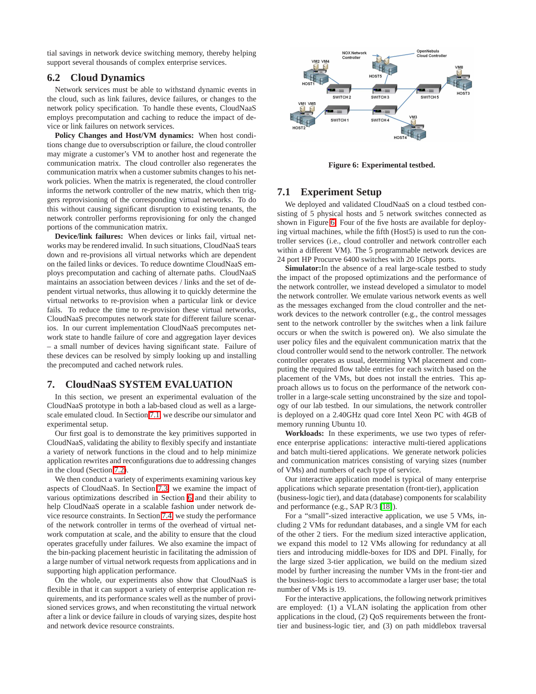tial savings in network device switching memory, thereby helping support several thousands of complex enterprise services.

# **6.2 Cloud Dynamics**

Network services must be able to withstand dynamic events in the cloud, such as link failures, device failures, or changes to the network policy specification. To handle these events, CloudNaaS employs precomputation and caching to reduce the impact of device or link failures on network services.

**Policy Changes and Host/VM dynamics:** When host conditions change due to oversubscription or failure, the cloud controller may migrate a customer's VM to another host and regenerate the communication matrix. The cloud controller also regenerates the communication matrix when a customer submits changes to his network policies. When the matrix is regenerated, the cloud controller informs the network controller of the new matrix, which then triggers reprovisioning of the corresponding virtual networks. To do this without causing significant disruption to existing tenants, the network controller performs reprovisioning for only the changed portions of the communication matrix.

**Device/link failures:** When devices or links fail, virtual networks may be rendered invalid. In such situations, CloudNaaS tears down and re-provisions all virtual networks which are dependent on the failed links or devices. To reduce downtime CloudNaaS employs precomputation and caching of alternate paths. CloudNaaS maintains an association between devices / links and the set of dependent virtual networks, thus allowing it to quickly determine the virtual networks to re-provision when a particular link or device fails. To reduce the time to re-provision these virtual networks, CloudNaaS precomputes network state for different failure scenarios. In our current implementation CloudNaaS precomputes network state to handle failure of core and aggregation layer devices – a small number of devices having significant state. Failure of these devices can be resolved by simply looking up and installing the precomputed and cached network rules.

#### <span id="page-7-0"></span>**7. CloudNaaS SYSTEM EVALUATION**

In this section, we present an experimental evaluation of the CloudNaaS prototype in both a lab-based cloud as well as a largescale emulated cloud. In Section [7.1,](#page-7-1) we describe our simulator and experimental setup.

Our first goal is to demonstrate the key primitives supported in CloudNaaS, validating the ability to flexibly specify and instantiate a variety of network functions in the cloud and to help minimize application rewrites and reconfigurations due to addressing changes in the cloud (Section [7.2\)](#page-8-0).

We then conduct a variety of experiments examining various key aspects of CloudNaaS. In Section [7.3,](#page-8-1) we examine the impact of various optimizations described in Section [6](#page-6-1) and their ability to help CloudNaaS operate in a scalable fashion under network device resource constraints. In Section [7.4,](#page-9-0) we study the performance of the network controller in terms of the overhead of virtual network computation at scale, and the ability to ensure that the cloud operates gracefully under failures. We also examine the impact of the bin-packing placement heuristic in facilitating the admission of a large number of virtual network requests from applications and in supporting high application performance.

On the whole, our experiments also show that CloudNaaS is flexible in that it can support a variety of enterprise application requirements, and its performance scales well as the number of provisioned services grows, and when reconstituting the virtual network after a link or device failure in clouds of varying sizes, despite host and network device resource constraints.



<span id="page-7-2"></span>**Figure 6: Experimental testbed.**

# <span id="page-7-1"></span>**7.1 Experiment Setup**

We deployed and validated CloudNaaS on a cloud testbed consisting of 5 physical hosts and 5 network switches connected as shown in Figure [6.](#page-7-2) Four of the five hosts are available for deploying virtual machines, while the fifth (Host5) is used to run the controller services (i.e., cloud controller and network controller each within a different VM). The 5 programmable network devices are 24 port HP Procurve 6400 switches with 20 1Gbps ports.

**Simulator:**In the absence of a real large-scale testbed to study the impact of the proposed optimizations and the performance of the network controller, we instead developed a simulator to model the network controller. We emulate various network events as well as the messages exchanged from the cloud controller and the network devices to the network controller (e.g., the control messages sent to the network controller by the switches when a link failure occurs or when the switch is powered on). We also simulate the user policy files and the equivalent communication matrix that the cloud controller would send to the network controller. The network controller operates as usual, determining VM placement and computing the required flow table entries for each switch based on the placement of the VMs, but does not install the entries. This approach allows us to focus on the performance of the network controller in a large-scale setting unconstrained by the size and topology of our lab testbed. In our simulations, the network controller is deployed on a 2.40GHz quad core Intel Xeon PC with 4GB of memory running Ubuntu 10.

**Workloads:** In these experiments, we use two types of reference enterprise applications: interactive multi-tiered applications and batch multi-tiered applications. We generate network policies and communication matrices consisting of varying sizes (number of VMs) and numbers of each type of service.

Our interactive application model is typical of many enterprise applications which separate presentation (front-tier), application (business-logic tier), and data (database) components for scalability and performance (e.g., SAP R/3 [\[18\]](#page-11-21)).

For a "small"-sized interactive application, we use 5 VMs, including 2 VMs for redundant databases, and a single VM for each of the other 2 tiers. For the medium sized interactive application, we expand this model to 12 VMs allowing for redundancy at all tiers and introducing middle-boxes for IDS and DPI. Finally, for the large sized 3-tier application, we build on the medium sized model by further increasing the number VMs in the front-tier and the business-logic tiers to accommodate a larger user base; the total number of VMs is 19.

For the interactive applications, the following network primitives are employed: (1) a VLAN isolating the application from other applications in the cloud, (2) QoS requirements between the fronttier and business-logic tier, and (3) on path middlebox traversal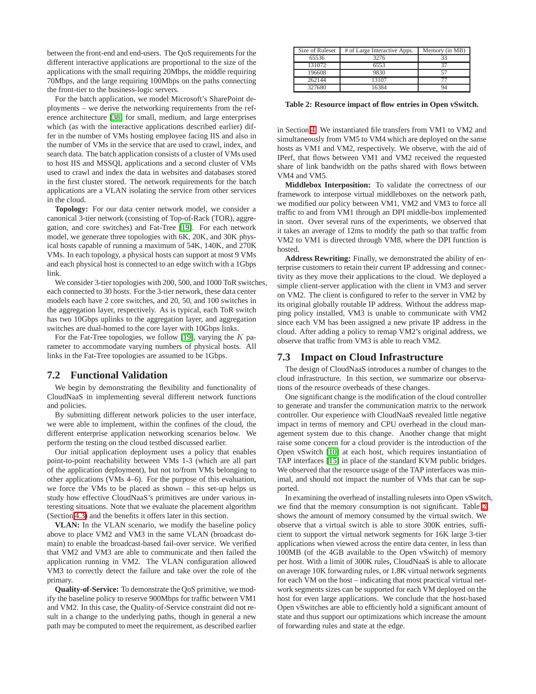between the front-end and end-users. The QoS requirements for the different interactive applications are proportional to the size of the applications with the small requiring 20Mbps, the middle requiring 70Mbps, and the large requiring 100Mbps on the paths connecting the front-tier to the business-logic servers.

For the batch application, we model Microsoft's SharePoint deployments – we derive the networking requirements from the reference architecture [\[38\]](#page-12-21) for small, medium, and large enterprises which (as with the interactive applications described earlier) differ in the number of VMs hosting employee facing IIS and also in the number of VMs in the service that are used to crawl, index, and search data. The batch application consists of a cluster of VMs used to host IIS and MSSQL applications and a second cluster of VMs used to crawl and index the data in websites and databases stored in the first cluster stored. The network requirements for the batch applications are a VLAN isolating the service from other services in the cloud.

**Topology:** For our data center network model, we consider a canonical 3-tier network (consisting of Top-of-Rack (TOR), aggregation, and core switches) and Fat-Tree [\[19\]](#page-11-22). For each network model, we generate three topologies with 6K, 20K, and 30K physical hosts capable of running a maximum of 54K, 140K, and 270K VMs. In each topology, a physical hosts can support at most 9 VMs and each physical host is connected to an edge switch with a 1Gbps link.

We consider 3-tier topologies with 200, 500, and 1000 ToR switches, each connected to 30 hosts. For the 3-tier network, these data center models each have 2 core switches, and 20, 50, and 100 switches in the aggregation layer, respectively. As is typical, each ToR switch has two 10Gbps uplinks to the aggregation layer, and aggregation switches are dual-homed to the core layer with 10Gbps links.

For the Fat-Tree topologies, we follow [\[19\]](#page-11-22), varying the  $K$  parameter to accommodate varying numbers of physical hosts. All links in the Fat-Tree topologies are assumed to be 1Gbps.

## <span id="page-8-0"></span>**7.2 Functional Validation**

We begin by demonstrating the flexibility and functionality of CloudNaaS in implementing several different network functions and policies.

By submitting different network policies to the user interface, we were able to implement, within the confines of the cloud, the different enterprise application networking scenarios below. We perform the testing on the cloud testbed discussed earlier.

Our initial application deployment uses a policy that enables point-to-point reachability between VMs 1-3 (which are all part of the application deployment), but not to/from VMs belonging to other applications (VMs 4–6). For the purpose of this evaluation, we force the VMs to be placed as shown – this set-up helps us study how effective CloudNaaS's primitives are under various interesting situations. Note that we evaluate the placement algorithm (Section [4.3\)](#page-4-1) and the benefits it offers later in this section.

**VLAN:** In the VLAN scenario, we modify the baseline policy above to place VM2 and VM3 in the same VLAN (broadcast domain) to enable the broadcast-based fail-over service. We verified that VM2 and VM3 are able to communicate and then failed the application running in VM2. The VLAN configuration allowed VM3 to correctly detect the failure and take over the role of the primary.

**Quality-of-Service:** To demonstrate the QoS primitive, we modify the baseline policy to reserve 900Mbps for traffic between VM1 and VM2. In this case, the Quality-of-Service constraint did not result in a change to the underlying paths, though in general a new path may be computed to meet the requirement, as described earlier

| Size of Ruleset | # of Large Interactive Apps. | Memory (in MB) |
|-----------------|------------------------------|----------------|
| 65536           | 3276                         | 22             |
| 131072          | 6553                         |                |
| 196608          | 9830                         |                |
| 262144          | 13107                        |                |
| 327680          | 16384                        |                |

<span id="page-8-2"></span>**Table 2: Resource impact of flow entries in Open vSwitch.**

in Section [4.](#page-2-2) We instantiated file transfers from VM1 to VM2 and simultaneously from VM5 to VM4 which are deployed on the same hosts as VM1 and VM2, respectively. We observe, with the aid of IPerf, that flows between VM1 and VM2 received the requested share of link bandwidth on the paths shared with flows between VM4 and VM5.

**Middlebox Interposition:** To validate the correctness of our framework to interpose virtual middleboxes on the network path, we modified our policy between VM1, VM2 and VM3 to force all traffic to and from VM1 through an DPI middle-box implemented in snort. Over several runs of the experiments, we observed that it takes an average of 12ms to modify the path so that traffic from VM2 to VM1 is directed through VM8, where the DPI function is hosted.

**Address Rewriting:** Finally, we demonstrated the ability of enterprise customers to retain their current IP addressing and connectivity as they move their applications to the cloud. We deployed a simple client-server application with the client in VM3 and server on VM2. The client is configured to refer to the server in VM2 by its original globally routable IP address. Without the address mapping policy installed, VM3 is unable to communicate with VM2 since each VM has been assigned a new private IP address in the cloud. After adding a policy to remap VM2's original address, we observe that traffic from VM3 is able to reach VM2.

## <span id="page-8-1"></span>**7.3 Impact on Cloud Infrastructure**

The design of CloudNaaS introduces a number of changes to the cloud infrastructure. In this section, we summarize our observations of the resource overheads of these changes.

One significant change is the modification of the cloud controller to generate and transfer the communication matrix to the network controller. Our experience with CloudNaaS revealed little negative impact in terms of memory and CPU overhead in the cloud management system due to this change. Another change that might raise some concern for a cloud provider is the introduction of the Open vSwitch [\[10\]](#page-11-23) at each host, which requires instantiation of TAP interfaces [\[15\]](#page-11-24) in place of the standard KVM public bridges. We observed that the resource usage of the TAP interfaces was minimal, and should not impact the number of VMs that can be supported.

In examining the overhead of installing rulesets into Open vSwitch, we find that the memory consumption is not significant. Table [2](#page-8-2) shows the amount of memory consumed by the virtual switch. We observe that a virtual switch is able to store 300K entries, sufficient to support the virtual network segments for 16K large 3-tier applications when viewed across the entire data center, in less than 100MB (of the 4GB available to the Open vSwitch) of memory per host. With a limit of 300K rules, CloudNaaS is able to allocate on average 10K forwarding rules, or 1.8K virtual network segments for each VM on the host – indicating that most practical virtual network segments sizes can be supported for each VM deployed on the host for even large applications. We conclude that the host-based Open vSwitches are able to efficiently hold a significant amount of state and thus support our optimizations which increase the amount of forwarding rules and state at the edge.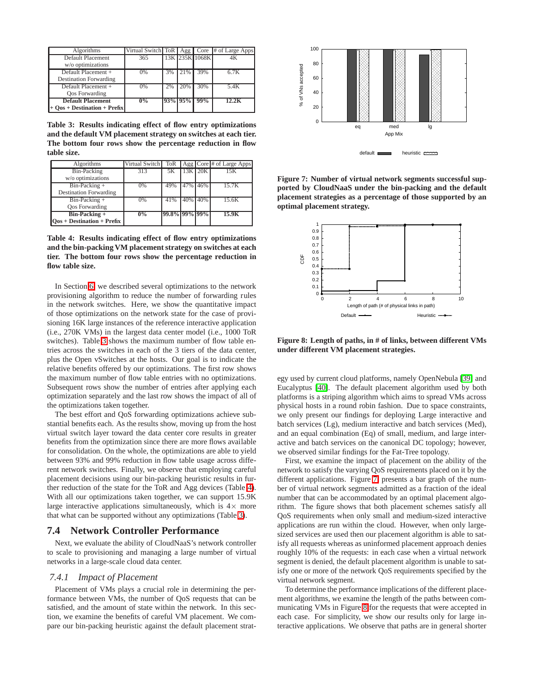| Algorithms                    | Virtual Switch ToR   Agg |    |            |                | Core # of Large Apps |
|-------------------------------|--------------------------|----|------------|----------------|----------------------|
| Default Placement             | 365                      |    |            | 13K 235K 1068K | 4K                   |
| w/o optimizations             |                          |    |            |                |                      |
| Default Placement +           | 0%                       | 3% | 21%        | 39%            | 6.7K                 |
| <b>Destination Forwarding</b> |                          |    |            |                |                      |
| Default Placement +           | 0%                       | 2% | 20%        | 30%            | 5.4K                 |
| <b>Oos Forwarding</b>         |                          |    |            |                |                      |
| <b>Default Placement</b>      | $0\%$                    |    | $93\%$ 95% | 99%            | 12.2K                |
| $\cos +$ Destination + Prefix |                          |    |            |                |                      |

<span id="page-9-1"></span>**Table 3: Results indicating effect of flow entry optimizations and the default VM placement strategy on switches at each tier. The bottom four rows show the percentage reduction in flow table size.**

| Algorithms                                        | Virtual Switch | <b>ToR</b>    |         | Agg Core # of Large Apps |
|---------------------------------------------------|----------------|---------------|---------|--------------------------|
| <b>Bin-Packing</b><br>w/o optimizations           | 313            | 5K            | 13K 20K | 15K                      |
| $Bin$ -Packing +<br><b>Destination Forwarding</b> | 0%             | 49%           | 47% 46% | 15.7K                    |
| $Bin$ -Packing +<br>Oos Forwarding                | 0%             | 41%           | 40% 40% | 15.6K                    |
| $Bin$ -Packing +<br>$\cos +$ Destination + Prefix | $0\%$          | 99.8% 99% 99% |         | 15.9K                    |

<span id="page-9-2"></span>**Table 4: Results indicating effect of flow entry optimizations and the bin-packing VM placement strategy on switches at each tier. The bottom four rows show the percentage reduction in flow table size.**

In Section [6,](#page-6-1) we described several optimizations to the network provisioning algorithm to reduce the number of forwarding rules in the network switches. Here, we show the quantitative impact of those optimizations on the network state for the case of provisioning 16K large instances of the reference interactive application (i.e., 270K VMs) in the largest data center model (i.e., 1000 ToR switches). Table [3](#page-9-1) shows the maximum number of flow table entries across the switches in each of the 3 tiers of the data center, plus the Open vSwitches at the hosts. Our goal is to indicate the relative benefits offered by our optimizations. The first row shows the maximum number of flow table entries with no optimizations. Subsequent rows show the number of entries after applying each optimization separately and the last row shows the impact of all of the optimizations taken together.

The best effort and QoS forwarding optimizations achieve substantial benefits each. As the results show, moving up from the host virtual switch layer toward the data center core results in greater benefits from the optimization since there are more flows available for consolidation. On the whole, the optimizations are able to yield between 93% and 99% reduction in flow table usage across different network switches. Finally, we observe that employing careful placement decisions using our bin-packing heuristic results in further reduction of the state for the ToR and Agg devices (Table [4\)](#page-9-2). With all our optimizations taken together, we can support 15.9K large interactive applications simultaneously, which is  $4\times$  more that what can be supported without any optimizations (Table [3\)](#page-9-1).

#### <span id="page-9-0"></span>**7.4 Network Controller Performance**

Next, we evaluate the ability of CloudNaaS's network controller to scale to provisioning and managing a large number of virtual networks in a large-scale cloud data center.

### *7.4.1 Impact of Placement*

Placement of VMs plays a crucial role in determining the performance between VMs, the number of QoS requests that can be satisfied, and the amount of state within the network. In this section, we examine the benefits of careful VM placement. We compare our bin-packing heuristic against the default placement strat-



<span id="page-9-3"></span>**Figure 7: Number of virtual network segments successful supported by CloudNaaS under the bin-packing and the default placement strategies as a percentage of those supported by an optimal placement strategy.**



<span id="page-9-4"></span>**Figure 8: Length of paths, in # of links, between different VMs under different VM placement strategies.**

egy used by current cloud platforms, namely OpenNebula [\[39\]](#page-12-22) and Eucalyptus [\[40\]](#page-12-23). The default placement algorithm used by both platforms is a striping algorithm which aims to spread VMs across physical hosts in a round robin fashion. Due to space constraints, we only present our findings for deploying Large interactive and batch services (Lg), medium interactive and batch services (Med), and an equal combination (Eq) of small, medium, and large interactive and batch services on the canonical DC topology; however, we observed similar findings for the Fat-Tree topology.

First, we examine the impact of placement on the ability of the network to satisfy the varying QoS requirements placed on it by the different applications. Figure [7,](#page-9-3) presents a bar graph of the number of virtual network segments admitted as a fraction of the ideal number that can be accommodated by an optimal placement algorithm. The figure shows that both placement schemes satisfy all QoS requirements when only small and medium-sized interactive applications are run within the cloud. However, when only largesized services are used then our placement algorithm is able to satisfy all requests whereas as uninformed placement approach denies roughly 10% of the requests: in each case when a virtual network segment is denied, the default placement algorithm is unable to satisfy one or more of the network QoS requirements specified by the virtual network segment.

To determine the performance implications of the different placement algorithms, we examine the length of the paths between communicating VMs in Figure [8](#page-9-4) for the requests that were accepted in each case. For simplicity, we show our results only for large interactive applications. We observe that paths are in general shorter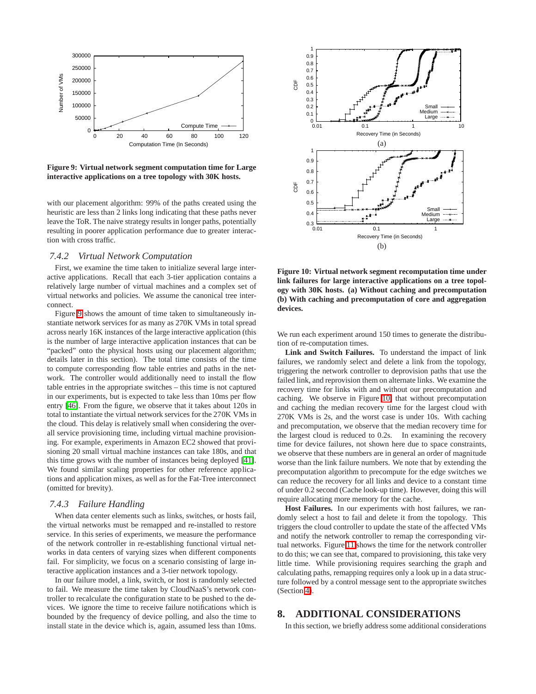

<span id="page-10-0"></span>**Figure 9: Virtual network segment computation time for Large interactive applications on a tree topology with 30K hosts.**

with our placement algorithm: 99% of the paths created using the heuristic are less than 2 links long indicating that these paths never leave the ToR. The naive strategy results in longer paths, potentially resulting in poorer application performance due to greater interaction with cross traffic.

#### *7.4.2 Virtual Network Computation*

First, we examine the time taken to initialize several large interactive applications. Recall that each 3-tier application contains a relatively large number of virtual machines and a complex set of virtual networks and policies. We assume the canonical tree interconnect.

Figure [9](#page-10-0) shows the amount of time taken to simultaneously instantiate network services for as many as 270K VMs in total spread across nearly 16K instances of the large interactive application (this is the number of large interactive application instances that can be "packed" onto the physical hosts using our placement algorithm; details later in this section). The total time consists of the time to compute corresponding flow table entries and paths in the network. The controller would additionally need to install the flow table entries in the appropriate switches – this time is not captured in our experiments, but is expected to take less than 10ms per flow entry [\[46\]](#page-12-24). From the figure, we observe that it takes about 120s in total to instantiate the virtual network services for the 270K VMs in the cloud. This delay is relatively small when considering the overall service provisioning time, including virtual machine provisioning. For example, experiments in Amazon EC2 showed that provisioning 20 small virtual machine instances can take 180s, and that this time grows with the number of instances being deployed [\[41\]](#page-12-25). We found similar scaling properties for other reference applications and application mixes, as well as for the Fat-Tree interconnect (omitted for brevity).

## *7.4.3 Failure Handling*

When data center elements such as links, switches, or hosts fail, the virtual networks must be remapped and re-installed to restore service. In this series of experiments, we measure the performance of the network controller in re-establishing functional virtual networks in data centers of varying sizes when different components fail. For simplicity, we focus on a scenario consisting of large interactive application instances and a 3-tier network topology.

In our failure model, a link, switch, or host is randomly selected to fail. We measure the time taken by CloudNaaS's network controller to recalculate the configuration state to be pushed to the devices. We ignore the time to receive failure notifications which is bounded by the frequency of device polling, and also the time to install state in the device which is, again, assumed less than 10ms.



<span id="page-10-1"></span>**Figure 10: Virtual network segment recomputation time under link failures for large interactive applications on a tree topology with 30K hosts. (a) Without caching and precomputation (b) With caching and precomputation of core and aggregation devices.**

We run each experiment around 150 times to generate the distribution of re-computation times.

**Link and Switch Failures.** To understand the impact of link failures, we randomly select and delete a link from the topology, triggering the network controller to deprovision paths that use the failed link, and reprovision them on alternate links. We examine the recovery time for links with and without our precomputation and caching. We observe in Figure [10,](#page-10-1) that without precomputation and caching the median recovery time for the largest cloud with 270K VMs is 2s, and the worst case is under 10s. With caching and precomputation, we observe that the median recovery time for the largest cloud is reduced to 0.2s. In examining the recovery time for device failures, not shown here due to space constraints, we observe that these numbers are in general an order of magnitude worse than the link failure numbers. We note that by extending the precomputation algorithm to precompute for the edge switches we can reduce the recovery for all links and device to a constant time of under 0.2 second (Cache look-up time). However, doing this will require allocating more memory for the cache.

**Host Failures.** In our experiments with host failures, we randomly select a host to fail and delete it from the topology. This triggers the cloud controller to update the state of the affected VMs and notify the network controller to remap the corresponding virtual networks. Figure [11](#page-11-25) shows the time for the network controller to do this; we can see that, compared to provisioning, this take very little time. While provisioning requires searching the graph and calculating paths, remapping requires only a look up in a data structure followed by a control message sent to the appropriate switches (Section [4\)](#page-2-2).

# **8. ADDITIONAL CONSIDERATIONS**

In this section, we briefly address some additional considerations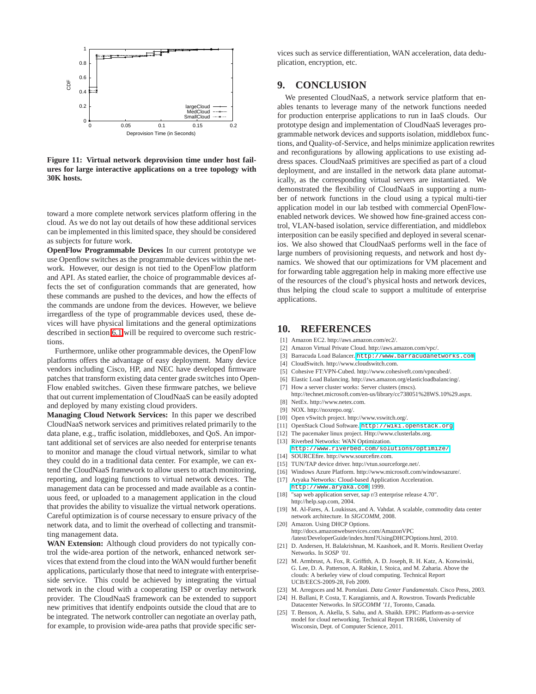

<span id="page-11-25"></span>**Figure 11: Virtual network deprovision time under host failures for large interactive applications on a tree topology with 30K hosts.**

toward a more complete network services platform offering in the cloud. As we do not lay out details of how these additional services can be implemented in this limited space, they should be considered as subjects for future work.

**OpenFlow Programmable Devices** In our current prototype we use Openflow switches as the programmable devices within the network. However, our design is not tied to the OpenFlow platform and API. As stated earlier, the choice of programmable devices affects the set of configuration commands that are generated, how these commands are pushed to the devices, and how the effects of the commands are undone from the devices. However, we believe irregardless of the type of programmable devices used, these devices will have physical limitations and the general optimizations described in section [6.1](#page-6-0) will be required to overcome such restrictions.

Furthermore, unlike other programmable devices, the OpenFlow platforms offers the advantage of easy deployment. Many device vendors including Cisco, HP, and NEC have developed firmware patches that transform existing data center grade switches into Open-Flow enabled switches. Given these firmware patches, we believe that out current implementation of CloudNaaS can be easily adopted and deployed by many existing cloud providers.

**Managing Cloud Network Services:** In this paper we described CloudNaaS network services and primitives related primarily to the data plane, e.g., traffic isolation, middleboxes, and QoS. An important additional set of services are also needed for enterprise tenants to monitor and manage the cloud virtual network, similar to what they could do in a traditional data center. For example, we can extend the CloudNaaS framework to allow users to attach monitoring, reporting, and logging functions to virtual network devices. The management data can be processed and made available as a continuous feed, or uploaded to a management application in the cloud that provides the ability to visualize the virtual network operations. Careful optimization is of course necessary to ensure privacy of the network data, and to limit the overhead of collecting and transmitting management data.

**WAN Extension:** Although cloud providers do not typically control the wide-area portion of the network, enhanced network services that extend from the cloud into the WAN would further benefit applications, particularly those that need to integrate with enterpriseside service. This could be achieved by integrating the virtual network in the cloud with a cooperating ISP or overlay network provider. The CloudNaaS framework can be extended to support new primitives that identify endpoints outside the cloud that are to be integrated. The network controller can negotiate an overlay path, for example, to provision wide-area paths that provide specific ser-

vices such as service differentiation, WAN acceleration, data deduplication, encryption, etc.

# **9. CONCLUSION**

We presented CloudNaaS, a network service platform that enables tenants to leverage many of the network functions needed for production enterprise applications to run in IaaS clouds. Our prototype design and implementation of CloudNaaS leverages programmable network devices and supports isolation, middlebox functions, and Quality-of-Service, and helps minimize application rewrites and reconfigurations by allowing applications to use existing address spaces. CloudNaaS primitives are specified as part of a cloud deployment, and are installed in the network data plane automatically, as the corresponding virtual servers are instantiated. We demonstrated the flexibility of CloudNaaS in supporting a number of network functions in the cloud using a typical multi-tier application model in our lab testbed with commercial OpenFlowenabled network devices. We showed how fine-grained access control, VLAN-based isolation, service differentiation, and middlebox interposition can be easily specified and deployed in several scenarios. We also showed that CloudNaaS performs well in the face of large numbers of provisioning requests, and network and host dynamics. We showed that our optimizations for VM placement and for forwarding table aggregation help in making more effective use of the resources of the cloud's physical hosts and network devices, thus helping the cloud scale to support a multitude of enterprise applications.

#### <span id="page-11-0"></span>**10. REFERENCES**

- [1] Amazon EC2. http://aws.amazon.com/ec2/.
- <span id="page-11-13"></span><span id="page-11-4"></span><span id="page-11-1"></span>[2] Amazon Virtual Private Cloud. http://aws.amazon.com/vpc/.
- <span id="page-11-2"></span>[3] Barracuda Load Balancer. <http://www.barracudanetworks.com>.
- [4] CloudSwitch. http://www.cloudswitch.com.
- <span id="page-11-7"></span>[5] Cohesive FT:VPN-Cubed. http://www.cohesiveft.com/vpncubed/.
- [6] Elastic Load Balancing. http://aws.amazon.org/elasticloadbalancing/.
- <span id="page-11-19"></span>[7] How a server cluster works: Server clusters (mscs). http://technet.microsoft.com/en-us/library/cc738051%28WS.10%29.aspx.
- <span id="page-11-11"></span>[8] NetEx. http://www.netex.com.
- [9] NOX. http://noxrepo.org/.
- <span id="page-11-23"></span><span id="page-11-20"></span><span id="page-11-17"></span>[10] Open vSwitch project. http://www.vswitch.org/.
- [11] OpenStack Cloud Software. <http://wiki.openstack.org>.
- <span id="page-11-9"></span><span id="page-11-5"></span>[12] The pacemaker linux project. Http://www.clusterlabs.org.
- [13] Riverbed Networks: WAN Optimization.
- <http://www.riverbed.com/solutions/optimize/>.
- <span id="page-11-24"></span><span id="page-11-6"></span>[14] SOURCEfire. http://www.sourcefire.com.
- <span id="page-11-10"></span>[15] TUN/TAP device driver. http://vtun.sourceforge.net/.
- [16] Windows Azure Platform. http://www.microsoft.com/windowsazure/.
- <span id="page-11-12"></span>[17] Aryaka Networks: Cloud-based Application Acceleration. <http://www.aryaka.com>, 1999.
- <span id="page-11-21"></span>[18] "sap web application server, sap r/3 enterprise release 4.70". http://help.sap.com, 2004.
- <span id="page-11-22"></span>[19] M. Al-Fares, A. Loukissas, and A. Vahdat. A scalable, commodity data center network architecture. In *SIGCOMM*, 2008.
- <span id="page-11-8"></span>[20] Amazon. Using DHCP Options. http://docs.amazonwebservices.com/AmazonVPC /latest/DeveloperGuide/index.html?UsingDHCPOptions.html, 2010.
- <span id="page-11-16"></span>[21] D. Andersen, H. Balakrishnan, M. Kaashoek, and R. Morris. Resilient Overlay Networks. In *SOSP '01*.
- <span id="page-11-14"></span>[22] M. Armbrust, A. Fox, R. Griffith, A. D. Joseph, R. H. Katz, A. Konwinski, G. Lee, D. A. Patterson, A. Rabkin, I. Stoica, and M. Zaharia. Above the clouds: A berkeley view of cloud computing. Technical Report UCB/EECS-2009-28, Feb 2009.
- <span id="page-11-15"></span><span id="page-11-3"></span>[23] M. Arregoces and M. Portolani. *Data Center Fundamentals*. Cisco Press, 2003.
- [24] H. Ballani, P. Costa, T. Karagiannis, and A. Rowstron. Towards Predictable Datacenter Networks. In *SIGCOMM '11*, Toronto, Canada.
- <span id="page-11-18"></span>[25] T. Benson, A. Akella, S. Sahu, and A. Shaikh. EPIC: Platform-as-a-service model for cloud networking. Technical Report TR1686, University of Wisconsin, Dept. of Computer Science, 2011.